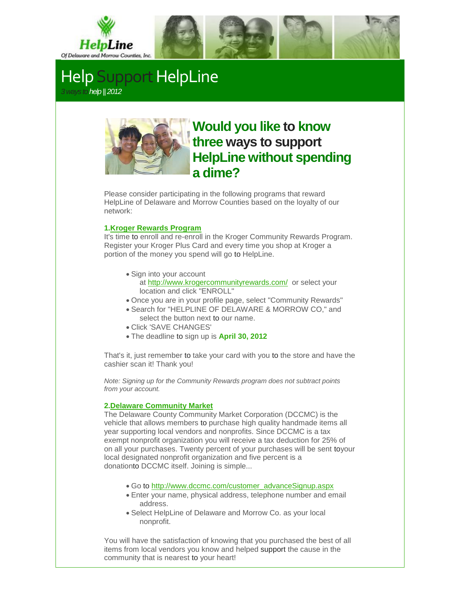

## **Help Support HelpLine** *3ways tohelp || 2012*



# **Would you like to know three ways to support HelpLine without spending a dime?**

Please consider participating in the following programs that reward HelpLine of Delaware and Morrow Counties based on the loyalty of our network:

#### **1[.Kroger Rewards Program](http://r20.rs6.net/tn.jsp?e=001RJY7Ok0DjxuIrC-a0ryvuH-OnPUeRsUoOOTU_OBdiCwil7K6-a4Syz5EBB2B4lA4TvxOTbqk3Ku77qloLtwaHwZ4EVue-WP1BPr28UCqnGaJQlV6VTNJUZVzP4CihmDN)**

It's time to enroll and re-enroll in the Kroger Community Rewards Program. Register your Kroger Plus Card and every time you shop at Kroger a portion of the money you spend will go to HelpLine.

- Sign into your account at http://www.krogercommunityrewards.com/ or select your location and click "ENROLL"
- Once you are in your profile page, select "Community Rewards"
- Search for "HELPLINE OF DELAWARE & MORROW CO," and select the button next to our name.
- Click 'SAVE CHANGES'
- The deadline to sign up is **April 30, 2012**

That's it, just remember to take your card with you to the store and have the cashier scan it! Thank you!

*Note: Signing up for the Community Rewards program does not subtract points from your account.*

### **2[.Delaware Community Market](http://r20.rs6.net/tn.jsp?e=001RJY7Ok0Djxug50ZwjQ11xfJ-UTFY6nuOLIFjgURzVucheOFcRryq2leAC-uuYsfElcxkaf4Q18iWiUxtJMmc0pFv11CY7Kh822UT4vDpBQoYdX9hNZYLfpYrCLpG7WKSEQK9ho2LsSmrfy4V8PnjqA==)**

The Delaware County Community Market Corporation (DCCMC) is the vehicle that allows members to purchase high quality handmade items all year supporting local vendors and nonprofits. Since DCCMC is a tax exempt nonprofit organization you will receive a tax deduction for 25% of on all your purchases. Twenty percent of your purchases will be sent toyour local designated nonprofit organization and five percent is a donationto DCCMC itself. Joining is simple...

- Go to http://www.dccmc.com/customer\_advanceSignup.aspx
- Enter your name, physical address, telephone number and email address.
- Select HelpLine of Delaware and Morrow Co. as your local nonprofit.

You will have the satisfaction of knowing that you purchased the best of all items from local vendors you know and helped support the cause in the community that is nearest to your heart!